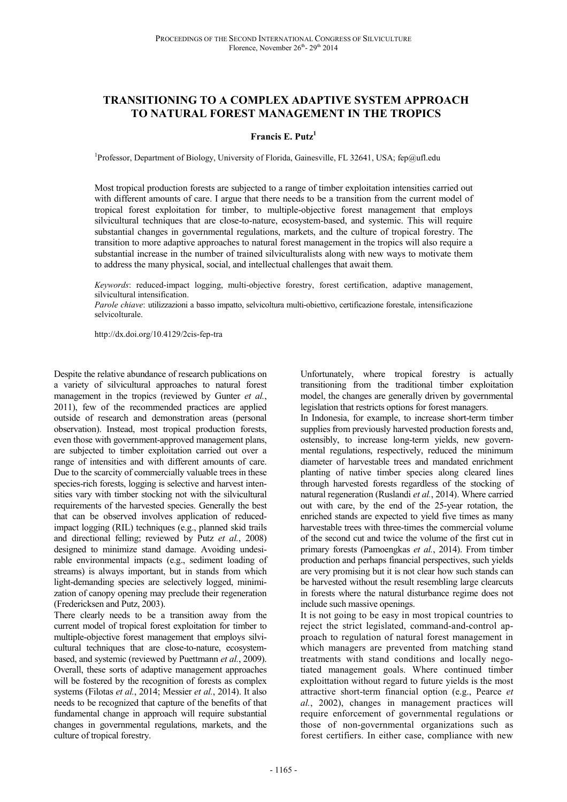# **TRANSITIONING TO A COMPLEX ADAPTIVE SYSTEM APPROACH TO NATURAL FOREST MANAGEMENT IN THE TROPICS**

### **Francis E. Putz<sup>1</sup>**

<sup>1</sup>Professor, Department of Biology, University of Florida, Gainesville, FL 32641, USA; fep@ufl.edu

Most tropical production forests are subjected to a range of timber exploitation intensities carried out with different amounts of care. I argue that there needs to be a transition from the current model of tropical forest exploitation for timber, to multiple-objective forest management that employs silvicultural techniques that are close-to-nature, ecosystem-based, and systemic. This will require substantial changes in governmental regulations, markets, and the culture of tropical forestry. The transition to more adaptive approaches to natural forest management in the tropics will also require a substantial increase in the number of trained silviculturalists along with new ways to motivate them to address the many physical, social, and intellectual challenges that await them.

*Keywords*: reduced-impact logging, multi-objective forestry, forest certification, adaptive management, silvicultural intensification.

*Parole chiave*: utilizzazioni a basso impatto, selvicoltura multi-obiettivo, certificazione forestale, intensificazione selvicolturale.

http://dx.doi.org/10.4129/2cis-fep-tra

Despite the relative abundance of research publications on a variety of silvicultural approaches to natural forest management in the tropics (reviewed by Gunter *et al.*, 2011), few of the recommended practices are applied outside of research and demonstration areas (personal observation). Instead, most tropical production forests, even those with government-approved management plans, are subjected to timber exploitation carried out over a range of intensities and with different amounts of care. Due to the scarcity of commercially valuable trees in these species-rich forests, logging is selective and harvest intensities vary with timber stocking not with the silvicultural requirements of the harvested species. Generally the best that can be observed involves application of reducedimpact logging (RIL) techniques (e.g., planned skid trails and directional felling; reviewed by Putz *et al.*, 2008) designed to minimize stand damage. Avoiding undesirable environmental impacts (e.g., sediment loading of streams) is always important, but in stands from which light-demanding species are selectively logged, minimization of canopy opening may preclude their regeneration (Fredericksen and Putz, 2003).

There clearly needs to be a transition away from the current model of tropical forest exploitation for timber to multiple-objective forest management that employs silvicultural techniques that are close-to-nature, ecosystembased, and systemic (reviewed by Puettmann *et al.*, 2009). Overall, these sorts of adaptive management approaches will be fostered by the recognition of forests as complex systems (Filotas *et al.*, 2014; Messier *et al.*, 2014). It also needs to be recognized that capture of the benefits of that fundamental change in approach will require substantial changes in governmental regulations, markets, and the culture of tropical forestry.

Unfortunately, where tropical forestry is actually transitioning from the traditional timber exploitation model, the changes are generally driven by governmental legislation that restricts options for forest managers.

In Indonesia, for example, to increase short-term timber supplies from previously harvested production forests and, ostensibly, to increase long-term yields, new governmental regulations, respectively, reduced the minimum diameter of harvestable trees and mandated enrichment planting of native timber species along cleared lines through harvested forests regardless of the stocking of natural regeneration (Ruslandi *et al.*, 2014). Where carried out with care, by the end of the 25-year rotation, the enriched stands are expected to yield five times as many harvestable trees with three-times the commercial volume of the second cut and twice the volume of the first cut in primary forests (Pamoengkas *et al.*, 2014). From timber production and perhaps financial perspectives, such yields are very promising but it is not clear how such stands can be harvested without the result resembling large clearcuts in forests where the natural disturbance regime does not include such massive openings.

It is not going to be easy in most tropical countries to reject the strict legislated, command-and-control approach to regulation of natural forest management in which managers are prevented from matching stand treatments with stand conditions and locally negotiated management goals. Where continued timber exploittation without regard to future yields is the most attractive short-term financial option (e.g., Pearce *et al.*, 2002), changes in management practices will require enforcement of governmental regulations or those of non-governmental organizations such as forest certifiers. In either case, compliance with new